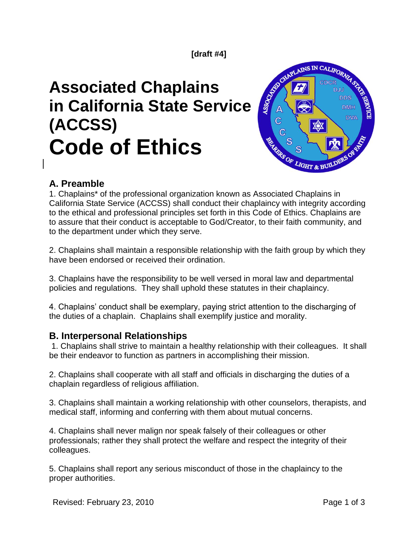#### **[draft #4]**

# **Associated Chaplains in California State Service (ACCSS) Code of Ethics**



## **A. Preamble**

1. Chaplains\* of the professional organization known as Associated Chaplains in California State Service (ACCSS) shall conduct their chaplaincy with integrity according to the ethical and professional principles set forth in this Code of Ethics. Chaplains are to assure that their conduct is acceptable to God/Creator, to their faith community, and to the department under which they serve.

2. Chaplains shall maintain a responsible relationship with the faith group by which they have been endorsed or received their ordination.

3. Chaplains have the responsibility to be well versed in moral law and departmental policies and regulations. They shall uphold these statutes in their chaplaincy.

4. Chaplains' conduct shall be exemplary, paying strict attention to the discharging of the duties of a chaplain. Chaplains shall exemplify justice and morality.

#### **B. Interpersonal Relationships**

1. Chaplains shall strive to maintain a healthy relationship with their colleagues. It shall be their endeavor to function as partners in accomplishing their mission.

2. Chaplains shall cooperate with all staff and officials in discharging the duties of a chaplain regardless of religious affiliation.

3. Chaplains shall maintain a working relationship with other counselors, therapists, and medical staff, informing and conferring with them about mutual concerns.

4. Chaplains shall never malign nor speak falsely of their colleagues or other professionals; rather they shall protect the welfare and respect the integrity of their colleagues.

5. Chaplains shall report any serious misconduct of those in the chaplaincy to the proper authorities.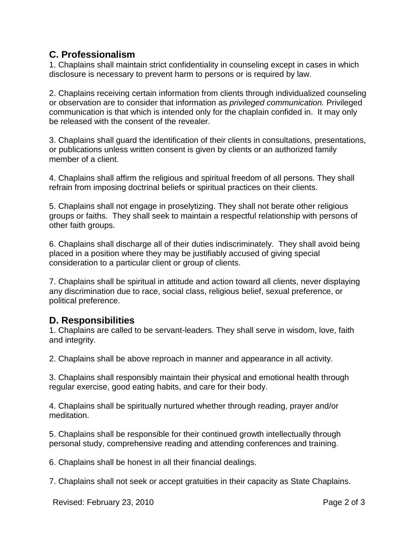#### **C. Professionalism**

1. Chaplains shall maintain strict confidentiality in counseling except in cases in which disclosure is necessary to prevent harm to persons or is required by law.

2. Chaplains receiving certain information from clients through individualized counseling or observation are to consider that information as *privileged communication.* Privileged communication is that which is intended only for the chaplain confided in. It may only be released with the consent of the revealer.

3. Chaplains shall guard the identification of their clients in consultations, presentations, or publications unless written consent is given by clients or an authorized family member of a client.

4. Chaplains shall affirm the religious and spiritual freedom of all persons. They shall refrain from imposing doctrinal beliefs or spiritual practices on their clients.

5. Chaplains shall not engage in proselytizing. They shall not berate other religious groups or faiths. They shall seek to maintain a respectful relationship with persons of other faith groups.

6. Chaplains shall discharge all of their duties indiscriminately. They shall avoid being placed in a position where they may be justifiably accused of giving special consideration to a particular client or group of clients.

7. Chaplains shall be spiritual in attitude and action toward all clients, never displaying any discrimination due to race, social class, religious belief, sexual preference, or political preference.

## **D. Responsibilities**

1. Chaplains are called to be servant-leaders. They shall serve in wisdom, love, faith and integrity.

2. Chaplains shall be above reproach in manner and appearance in all activity.

3. Chaplains shall responsibly maintain their physical and emotional health through regular exercise, good eating habits, and care for their body.

4. Chaplains shall be spiritually nurtured whether through reading, prayer and/or meditation.

5. Chaplains shall be responsible for their continued growth intellectually through personal study, comprehensive reading and attending conferences and training.

6. Chaplains shall be honest in all their financial dealings.

7. Chaplains shall not seek or accept gratuities in their capacity as State Chaplains.